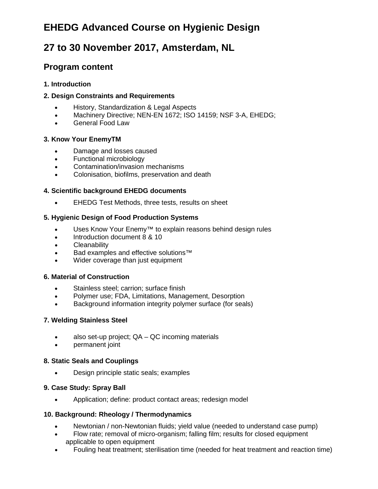# **EHEDG Advanced Course on Hygienic Design**

# **27 to 30 November 2017, Amsterdam, NL**

## **Program content**

#### **1. Introduction**

### **2. Design Constraints and Requirements**

- History, Standardization & Legal Aspects
- Machinery Directive; NEN-EN 1672; ISO 14159; NSF 3-A, EHEDG;
- General Food Law

#### **3. Know Your EnemyTM**

- Damage and losses caused
- Functional microbiology
- Contamination/invasion mechanisms
- Colonisation, biofilms, preservation and death

### **4. Scientific background EHEDG documents**

• EHEDG Test Methods, three tests, results on sheet

#### **5. Hygienic Design of Food Production Systems**

- Uses Know Your Enemy<sup>™</sup> to explain reasons behind design rules
- Introduction document 8 & 10
- Cleanability
- Bad examples and effective solutions™
- Wider coverage than just equipment

#### **6. Material of Construction**

- Stainless steel; carrion; surface finish
- Polymer use; FDA, Limitations, Management, Desorption
- Background information integrity polymer surface (for seals)

#### **7. Welding Stainless Steel**

- also set-up project; QA QC incoming materials
- permanent joint

#### **8. Static Seals and Couplings**

• Design principle static seals; examples

#### **9. Case Study: Spray Ball**

• Application; define: product contact areas; redesign model

#### **10. Background: Rheology / Thermodynamics**

- Newtonian / non-Newtonian fluids; yield value (needed to understand case pump)
- Flow rate; removal of micro-organism; falling film; results for closed equipment applicable to open equipment
- Fouling heat treatment; sterilisation time (needed for heat treatment and reaction time)